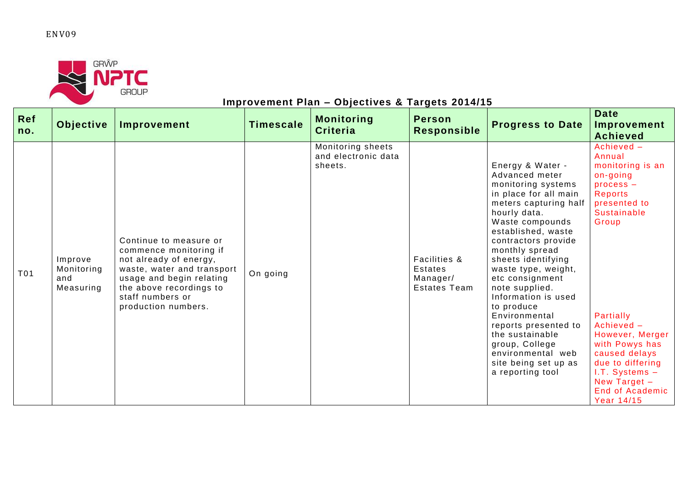## ENV09



## **Improvement Plan – Objectives & Targets 2014/15**

| Ref<br>no. | Objective                                 | Improvement                                                                                                                                                                                                | <b>Timescale</b> | <b>Monitoring</b><br><b>Criteria</b>                | <b>Person</b><br><b>Responsible</b>                        | <b>Progress to Date</b>                                                                                                                                                                                                                                                                                                                                                                                                                                                            | <b>Date</b><br>Improvement<br><b>Achieved</b>                                                                                                                                                                                                                                                                |
|------------|-------------------------------------------|------------------------------------------------------------------------------------------------------------------------------------------------------------------------------------------------------------|------------------|-----------------------------------------------------|------------------------------------------------------------|------------------------------------------------------------------------------------------------------------------------------------------------------------------------------------------------------------------------------------------------------------------------------------------------------------------------------------------------------------------------------------------------------------------------------------------------------------------------------------|--------------------------------------------------------------------------------------------------------------------------------------------------------------------------------------------------------------------------------------------------------------------------------------------------------------|
| T01        | Improve<br>Monitoring<br>and<br>Measuring | Continue to measure or<br>commence monitoring if<br>not already of energy,<br>waste, water and transport<br>usage and begin relating<br>the above recordings to<br>staff numbers or<br>production numbers. | On going         | Monitoring sheets<br>and electronic data<br>sheets. | Facilities &<br>Estates<br>Manager/<br><b>Estates Team</b> | Energy & Water -<br>Advanced meter<br>monitoring systems<br>in place for all main<br>meters capturing half<br>hourly data.<br>Waste compounds<br>established, waste<br>contractors provide<br>monthly spread<br>sheets identifying<br>waste type, weight,<br>etc consignment<br>note supplied.<br>Information is used<br>to produce<br>Environmental<br>reports presented to<br>the sustainable<br>group, College<br>environmental web<br>site being set up as<br>a reporting tool | Achieved -<br>Annual<br>monitoring is an<br>on-going<br>$process -$<br>Reports<br>presented to<br><b>Sustainable</b><br>Group<br>Partially<br>Achieved -<br>However, Merger<br>with Powys has<br>caused delays<br>due to differing<br>I.T. Systems -<br>New Target -<br><b>End of Academic</b><br>Year 14/15 |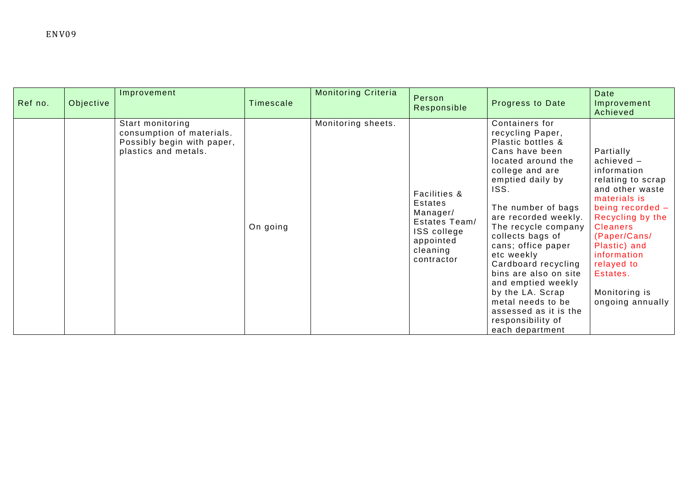| Ref no. | Objective | Improvement                                                                                         | Timescale | <b>Monitoring Criteria</b> | Person<br>Responsible                                                                                      | <b>Progress to Date</b>                                                                                                                                                                                                                                                                                                                                                                                                                                     | <b>Date</b><br>Improvement<br>Achieved                                                                                                                                                                                                                                      |
|---------|-----------|-----------------------------------------------------------------------------------------------------|-----------|----------------------------|------------------------------------------------------------------------------------------------------------|-------------------------------------------------------------------------------------------------------------------------------------------------------------------------------------------------------------------------------------------------------------------------------------------------------------------------------------------------------------------------------------------------------------------------------------------------------------|-----------------------------------------------------------------------------------------------------------------------------------------------------------------------------------------------------------------------------------------------------------------------------|
|         |           | Start monitoring<br>consumption of materials.<br>Possibly begin with paper,<br>plastics and metals. | On going  | Monitoring sheets.         | Facilities &<br>Estates<br>Manager/<br>Estates Team/<br>ISS college<br>appointed<br>cleaning<br>contractor | Containers for<br>recycling Paper,<br>Plastic bottles &<br>Cans have been<br>located around the<br>college and are<br>emptied daily by<br>ISS.<br>The number of bags<br>are recorded weekly.<br>The recycle company<br>collects bags of<br>cans; office paper<br>etc weekly<br>Cardboard recycling<br>bins are also on site<br>and emptied weekly<br>by the LA. Scrap<br>metal needs to be<br>assessed as it is the<br>responsibility of<br>each department | Partially<br>$achieved -$<br>information<br>relating to scrap<br>and other waste<br>materials is<br>being recorded $-$<br>Recycling by the<br><b>Cleaners</b><br>(Paper/Cans/<br>Plastic) and<br>information<br>relayed to<br>Estates.<br>Monitoring is<br>ongoing annually |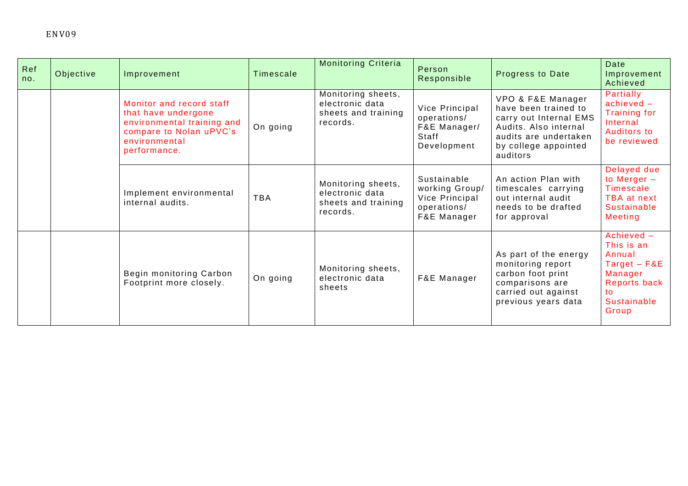| Ref<br>no. | Objective | Improvement                                                                                                                               | Timescale  | <b>Monitoring Criteria</b>                                               | Person<br>Responsible                                                         | <b>Progress to Date</b>                                                                                                                                   | Date<br>Improvement<br>Achieved                                                                                      |
|------------|-----------|-------------------------------------------------------------------------------------------------------------------------------------------|------------|--------------------------------------------------------------------------|-------------------------------------------------------------------------------|-----------------------------------------------------------------------------------------------------------------------------------------------------------|----------------------------------------------------------------------------------------------------------------------|
|            |           | Monitor and record staff<br>that have undergone<br>environmental training and<br>compare to Nolan uPVC's<br>environmental<br>performance. | On going   | Monitoring sheets,<br>electronic data<br>sheets and training<br>records. | Vice Principal<br>operations/<br>F&E Manager/<br>Staff<br>Development         | VPO & F&E Manager<br>have been trained to<br>carry out Internal EMS<br>Audits. Also internal<br>audits are undertaken<br>by college appointed<br>auditors | Partially<br>$achieved -$<br><b>Training for</b><br>Internal<br>Auditors to<br>be reviewed                           |
|            |           | Implement environmental<br>internal audits.                                                                                               | <b>TBA</b> | Monitoring sheets,<br>electronic data<br>sheets and training<br>records. | Sustainable<br>working Group/<br>Vice Principal<br>operations/<br>F&E Manager | An action Plan with<br>timescales carrying<br>out internal audit<br>needs to be drafted<br>for approval                                                   | Delayed due<br>to Merger $-$<br>Timescale<br>TBA at next<br><b>Sustainable</b><br>Meeting                            |
|            |           | Begin monitoring Carbon<br>Footprint more closely.                                                                                        | On going   | Monitoring sheets,<br>electronic data<br>sheets                          | F&E Manager                                                                   | As part of the energy<br>monitoring report<br>carbon foot print<br>comparisons are<br>carried out against<br>previous years data                          | Achieved -<br>This is an<br>Annual<br>$Target - F&E$<br>Manager<br>Reports back<br>to<br><b>Sustainable</b><br>Group |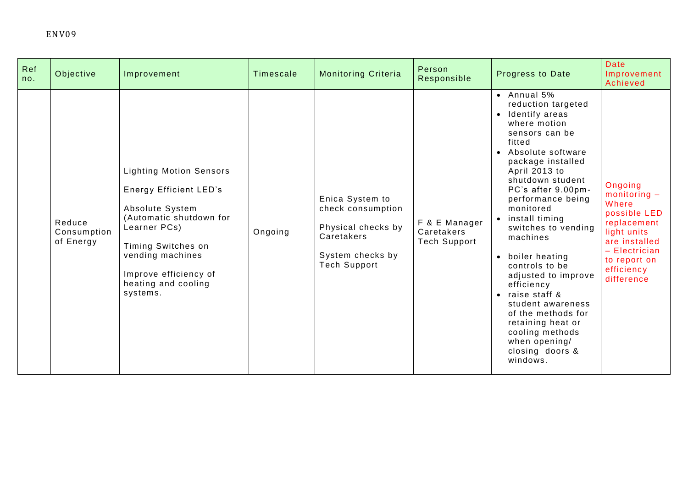| Ref<br>no. | Objective                          | Improvement                                                                                                                                                                                                                         | Timescale | <b>Monitoring Criteria</b>                                                                                          | Person<br>Responsible                       | <b>Progress to Date</b>                                                                                                                                                                                                                                                                                                                                                                                                                                                                                                                               | <b>Date</b><br>Improvement<br>Achieved                                                                                                                           |
|------------|------------------------------------|-------------------------------------------------------------------------------------------------------------------------------------------------------------------------------------------------------------------------------------|-----------|---------------------------------------------------------------------------------------------------------------------|---------------------------------------------|-------------------------------------------------------------------------------------------------------------------------------------------------------------------------------------------------------------------------------------------------------------------------------------------------------------------------------------------------------------------------------------------------------------------------------------------------------------------------------------------------------------------------------------------------------|------------------------------------------------------------------------------------------------------------------------------------------------------------------|
|            | Reduce<br>Consumption<br>of Energy | <b>Lighting Motion Sensors</b><br><b>Energy Efficient LED's</b><br>Absolute System<br>(Automatic shutdown for<br>Learner PCs)<br>Timing Switches on<br>vending machines<br>Improve efficiency of<br>heating and cooling<br>systems. | Ongoing   | Enica System to<br>check consumption<br>Physical checks by<br>Caretakers<br>System checks by<br><b>Tech Support</b> | F & E Manager<br>Caretakers<br>Tech Support | $\bullet$ Annual 5%<br>reduction targeted<br>Identify areas<br>$\bullet$<br>where motion<br>sensors can be<br>fitted<br>• Absolute software<br>package installed<br>April 2013 to<br>shutdown student<br>PC's after 9.00pm-<br>performance being<br>monitored<br>• install timing<br>switches to vending<br>machines<br>• boiler heating<br>controls to be<br>adjusted to improve<br>efficiency<br>• raise staff &<br>student awareness<br>of the methods for<br>retaining heat or<br>cooling methods<br>when opening/<br>closing doors &<br>windows. | Ongoing<br>$monitoring -$<br>Where<br>possible LED<br>replacement<br>light units<br>are installed<br>$-$ Electrician<br>to report on<br>efficiency<br>difference |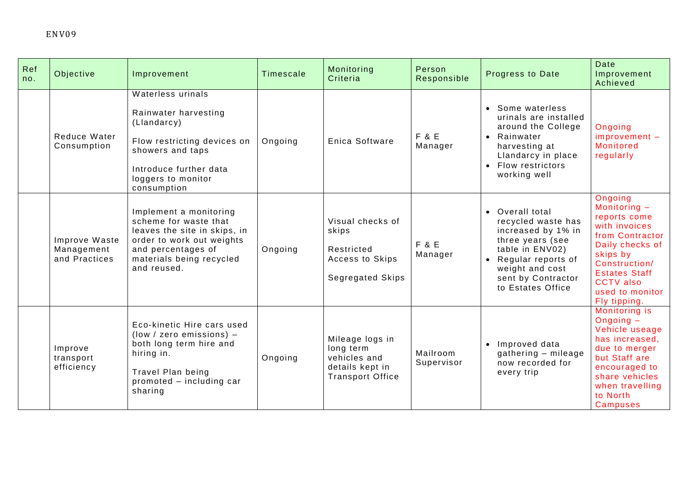| Ref<br>no. | Objective                                    | Improvement                                                                                                                                                                   | Timescale | Monitoring<br>Criteria                                                                     | Person<br>Responsible       | Progress to Date                                                                                                                                                                       | Date<br>Improvement<br>Achieved                                                                                                                                                                              |
|------------|----------------------------------------------|-------------------------------------------------------------------------------------------------------------------------------------------------------------------------------|-----------|--------------------------------------------------------------------------------------------|-----------------------------|----------------------------------------------------------------------------------------------------------------------------------------------------------------------------------------|--------------------------------------------------------------------------------------------------------------------------------------------------------------------------------------------------------------|
|            | Reduce Water<br>Consumption                  | Waterless urinals<br>Rainwater harvesting<br>(Llandarcy)<br>Flow restricting devices on<br>showers and taps<br>Introduce further data<br>loggers to monitor<br>consumption    | Ongoing   | Enica Software                                                                             | <b>F &amp; E</b><br>Manager | • Some waterless<br>urinals are installed<br>around the College<br>• Rainwater<br>harvesting at<br>Llandarcy in place<br>• Flow restrictors<br>working well                            | Ongoing<br>$improvement -$<br><b>Monitored</b><br>regularly                                                                                                                                                  |
|            | Improve Waste<br>Management<br>and Practices | Implement a monitoring<br>scheme for waste that<br>leaves the site in skips, in<br>order to work out weights<br>and percentages of<br>materials being recycled<br>and reused. | Ongoing   | Visual checks of<br>skips<br>Restricted<br>Access to Skips<br>Segregated Skips             | <b>F &amp; E</b><br>Manager | • Overall total<br>recycled waste has<br>increased by 1% in<br>three years (see<br>table in ENV02)<br>Regular reports of<br>weight and cost<br>sent by Contractor<br>to Estates Office | Ongoing<br>Monitoring $-$<br>reports come<br>with invoices<br>from Contractor<br>Daily checks of<br>skips by<br>Construction/<br><b>Estates Staff</b><br><b>CCTV</b> also<br>used to monitor<br>Fly tipping. |
|            | Improve<br>transport<br>efficiency           | Eco-kinetic Hire cars used<br>$(low / zero emissions)$ –<br>both long term hire and<br>hiring in.<br>Travel Plan being<br>promoted - including car<br>sharing                 | Ongoing   | Mileage logs in<br>long term<br>vehicles and<br>details kept in<br><b>Transport Office</b> | Mailroom<br>Supervisor      | • Improved data<br>gathering - mileage<br>now recorded for<br>every trip                                                                                                               | Monitoring is<br>Ongoing $-$<br>Vehicle useage<br>has increased.<br>due to merger<br>but Staff are<br>encouraged to<br>share vehicles<br>when travelling<br>to North<br><b>Campuses</b>                      |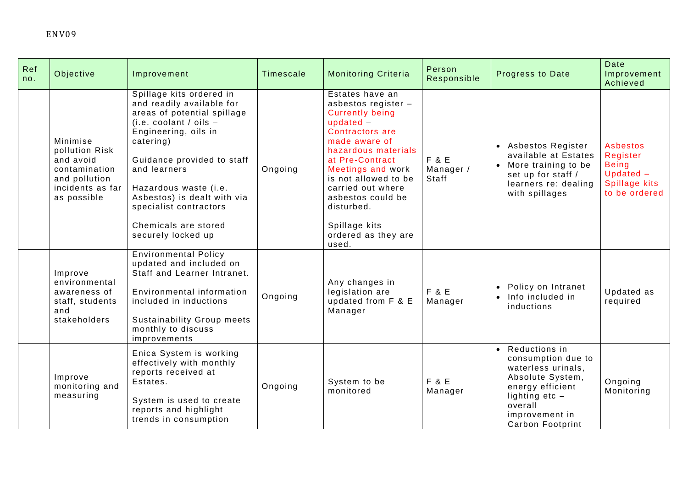| Ref<br>no. | Objective                                                                                                    | Improvement                                                                                                                                                                                                                                                                                                                         | Timescale | <b>Monitoring Criteria</b>                                                                                                                                                                                                                                                                                                 | Person<br>Responsible       | <b>Progress to Date</b>                                                                                                                                                         | Date<br>Improvement<br>Achieved                                                      |
|------------|--------------------------------------------------------------------------------------------------------------|-------------------------------------------------------------------------------------------------------------------------------------------------------------------------------------------------------------------------------------------------------------------------------------------------------------------------------------|-----------|----------------------------------------------------------------------------------------------------------------------------------------------------------------------------------------------------------------------------------------------------------------------------------------------------------------------------|-----------------------------|---------------------------------------------------------------------------------------------------------------------------------------------------------------------------------|--------------------------------------------------------------------------------------|
|            | Minimise<br>pollution Risk<br>and avoid<br>contamination<br>and pollution<br>incidents as far<br>as possible | Spillage kits ordered in<br>and readily available for<br>areas of potential spillage<br>(i.e. coolant / oils $-$<br>Engineering, oils in<br>catering)<br>Guidance provided to staff<br>and learners<br>Hazardous waste (i.e.<br>Asbestos) is dealt with via<br>specialist contractors<br>Chemicals are stored<br>securely locked up | Ongoing   | Estates have an<br>asbestos register -<br><b>Currently being</b><br>updated $-$<br><b>Contractors are</b><br>made aware of<br>hazardous materials<br>at Pre-Contract<br>Meetings and work<br>is not allowed to be<br>carried out where<br>asbestos could be<br>disturbed.<br>Spillage kits<br>ordered as they are<br>used. | F & E<br>Manager /<br>Staff | • Asbestos Register<br>available at Estates<br>• More training to be<br>set up for staff /<br>learners re: dealing<br>with spillages                                            | Asbestos<br>Register<br><b>Being</b><br>$Update -$<br>Spillage kits<br>to be ordered |
|            | Improve<br>environmental<br>awareness of<br>staff, students<br>and<br>stakeholders                           | <b>Environmental Policy</b><br>updated and included on<br>Staff and Learner Intranet.<br>Environmental information<br>included in inductions<br><b>Sustainability Group meets</b><br>monthly to discuss<br>improvements                                                                                                             | Ongoing   | Any changes in<br>legislation are<br>updated from F & E<br>Manager                                                                                                                                                                                                                                                         | F & E<br>Manager            | Policy on Intranet<br>• Info included in<br>inductions                                                                                                                          | Updated as<br>required                                                               |
|            | Improve<br>monitoring and<br>measuring                                                                       | Enica System is working<br>effectively with monthly<br>reports received at<br>Estates.<br>System is used to create<br>reports and highlight<br>trends in consumption                                                                                                                                                                | Ongoing   | System to be<br>monitored                                                                                                                                                                                                                                                                                                  | F & E<br>Manager            | • Reductions in<br>consumption due to<br>waterless urinals,<br>Absolute System,<br>energy efficient<br>lighting $etc -$<br>overall<br>improvement in<br><b>Carbon Footprint</b> | Ongoing<br>Monitoring                                                                |